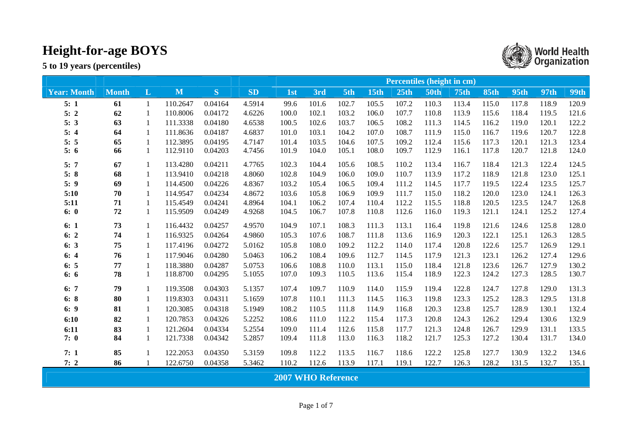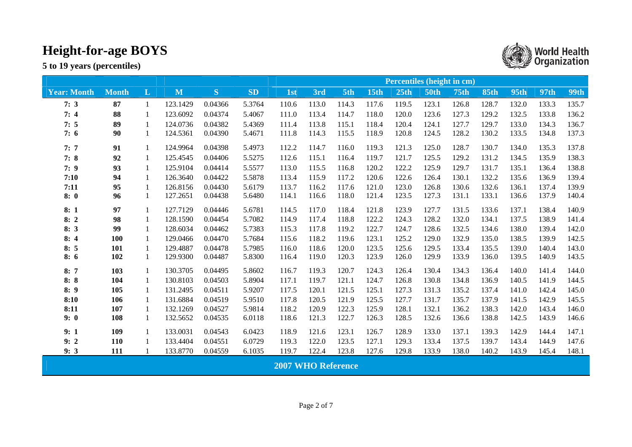**5 to 19 years (percentiles)** 



▒ World Health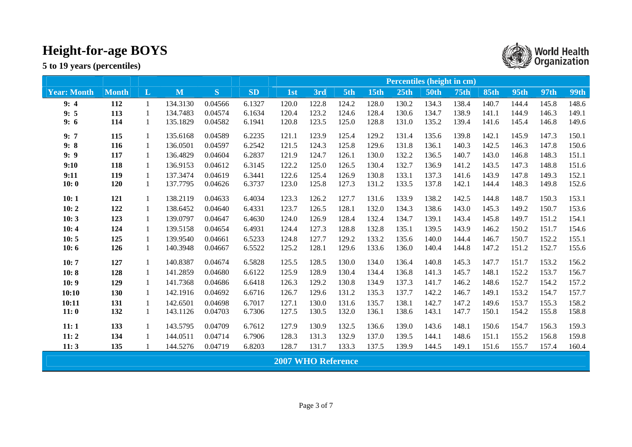|                    |              |              |          |         |           | <b>Percentiles (height in cm)</b> |       |       |             |                  |             |             |             |             |       |             |  |
|--------------------|--------------|--------------|----------|---------|-----------|-----------------------------------|-------|-------|-------------|------------------|-------------|-------------|-------------|-------------|-------|-------------|--|
| <b>Year: Month</b> | <b>Month</b> | L            | M        | S.      | <b>SD</b> | 1st                               | 3rd   | 5th   | <b>15th</b> | 25 <sub>th</sub> | <b>50th</b> | <b>75th</b> | <b>85th</b> | <b>95th</b> | 97th  | <b>99th</b> |  |
| 9:4                | 112          | $\mathbf{1}$ | 134.3130 | 0.04566 | 6.1327    | 120.0                             | 122.8 | 124.2 | 128.0       | 130.2            | 134.3       | 138.4       | 140.7       | 144.4       | 145.8 | 148.6       |  |
| 9:5                | 113          | $\mathbf{1}$ | 134.7483 | 0.04574 | 6.1634    | 120.4                             | 123.2 | 124.6 | 128.4       | 130.6            | 134.7       | 138.9       | 141.1       | 144.9       | 146.3 | 149.1       |  |
| 9:6                | 114          | 1            | 135.1829 | 0.04582 | 6.1941    | 120.8                             | 123.5 | 125.0 | 128.8       | 131.0            | 135.2       | 139.4       | 141.6       | 145.4       | 146.8 | 149.6       |  |
| 9:7                | 115          | $\mathbf{1}$ | 135.6168 | 0.04589 | 6.2235    | 121.1                             | 123.9 | 125.4 | 129.2       | 131.4            | 135.6       | 139.8       | 142.1       | 145.9       | 147.3 | 150.1       |  |
| 9:8                | 116          | 1            | 136.0501 | 0.04597 | 6.2542    | 121.5                             | 124.3 | 125.8 | 129.6       | 131.8            | 136.1       | 140.3       | 142.5       | 146.3       | 147.8 | 150.6       |  |
| 9:9                | 117          | $\mathbf{1}$ | 136.4829 | 0.04604 | 6.2837    | 121.9                             | 124.7 | 126.1 | 130.0       | 132.2            | 136.5       | 140.7       | 143.0       | 146.8       | 148.3 | 151.1       |  |
| 9:10               | 118          | 1            | 136.9153 | 0.04612 | 6.3145    | 122.2                             | 125.0 | 126.5 | 130.4       | 132.7            | 136.9       | 141.2       | 143.5       | 147.3       | 148.8 | 151.6       |  |
| 9:11               | 119          | $\mathbf{1}$ | 137.3474 | 0.04619 | 6.3441    | 122.6                             | 125.4 | 126.9 | 130.8       | 133.1            | 137.3       | 141.6       | 143.9       | 147.8       | 149.3 | 152.1       |  |
| 10:0               | 120          | $\mathbf{1}$ | 137.7795 | 0.04626 | 6.3737    | 123.0                             | 125.8 | 127.3 | 131.2       | 133.5            | 137.8       | 142.1       | 144.4       | 148.3       | 149.8 | 152.6       |  |
| 10:1               | 121          | $\mathbf{1}$ | 138.2119 | 0.04633 | 6.4034    | 123.3                             | 126.2 | 127.7 | 131.6       | 133.9            | 138.2       | 142.5       | 144.8       | 148.7       | 150.3 | 153.1       |  |
| 10:2               | 122          | 1            | 138.6452 | 0.04640 | 6.4331    | 123.7                             | 126.5 | 128.1 | 132.0       | 134.3            | 138.6       | 143.0       | 145.3       | 149.2       | 150.7 | 153.6       |  |
| 10:3               | 123          | $\mathbf{1}$ | 139.0797 | 0.04647 | 6.4630    | 124.0                             | 126.9 | 128.4 | 132.4       | 134.7            | 139.1       | 143.4       | 145.8       | 149.7       | 151.2 | 154.1       |  |
| 10:4               | 124          | $\mathbf{1}$ | 139.5158 | 0.04654 | 6.4931    | 124.4                             | 127.3 | 128.8 | 132.8       | 135.1            | 139.5       | 143.9       | 146.2       | 150.2       | 151.7 | 154.6       |  |
| 10:5               | 125          |              | 139.9540 | 0.04661 | 6.5233    | 124.8                             | 127.7 | 129.2 | 133.2       | 135.6            | 140.0       | 144.4       | 146.7       | 150.7       | 152.2 | 155.1       |  |
| 10:6               | 126          | 1            | 140.3948 | 0.04667 | 6.5522    | 125.2                             | 128.1 | 129.6 | 133.6       | 136.0            | 140.4       | 144.8       | 147.2       | 151.2       | 152.7 | 155.6       |  |
| 10:7               | 127          | 1            | 140.8387 | 0.04674 | 6.5828    | 125.5                             | 128.5 | 130.0 | 134.0       | 136.4            | 140.8       | 145.3       | 147.7       | 151.7       | 153.2 | 156.2       |  |
| 10:8               | 128          | 1            | 141.2859 | 0.04680 | 6.6122    | 125.9                             | 128.9 | 130.4 | 134.4       | 136.8            | 141.3       | 145.7       | 148.1       | 152.2       | 153.7 | 156.7       |  |
| 10:9               | 129          | 1            | 141.7368 | 0.04686 | 6.6418    | 126.3                             | 129.2 | 130.8 | 134.9       | 137.3            | 141.7       | 146.2       | 148.6       | 152.7       | 154.2 | 157.2       |  |
| 10:10              | 130          | 1            | 142.1916 | 0.04692 | 6.6716    | 126.7                             | 129.6 | 131.2 | 135.3       | 137.7            | 142.2       | 146.7       | 149.1       | 153.2       | 154.7 | 157.7       |  |
| 10:11              | 131          | 1            | 142.6501 | 0.04698 | 6.7017    | 127.1                             | 130.0 | 131.6 | 135.7       | 138.1            | 142.7       | 147.2       | 149.6       | 153.7       | 155.3 | 158.2       |  |
| 11:0               | 132          | $\mathbf{1}$ | 143.1126 | 0.04703 | 6.7306    | 127.5                             | 130.5 | 132.0 | 136.1       | 138.6            | 143.1       | 147.7       | 150.1       | 154.2       | 155.8 | 158.8       |  |
| 11:1               | 133          | $\mathbf{1}$ | 143.5795 | 0.04709 | 6.7612    | 127.9                             | 130.9 | 132.5 | 136.6       | 139.0            | 143.6       | 148.1       | 150.6       | 154.7       | 156.3 | 159.3       |  |
| 11:2               | 134          |              | 144.0511 | 0.04714 | 6.7906    | 128.3                             | 131.3 | 132.9 | 137.0       | 139.5            | 144.1       | 148.6       | 151.1       | 155.2       | 156.8 | 159.8       |  |
| 11:3               | 135          |              | 144.5276 | 0.04719 | 6.8203    | 128.7                             | 131.7 | 133.3 | 137.5       | 139.9            | 144.5       | 149.1       | 151.6       | 155.7       | 157.4 | 160.4       |  |
|                    |              |              |          |         |           | <b>2007 WHO Reference</b>         |       |       |             |                  |             |             |             |             |       |             |  |

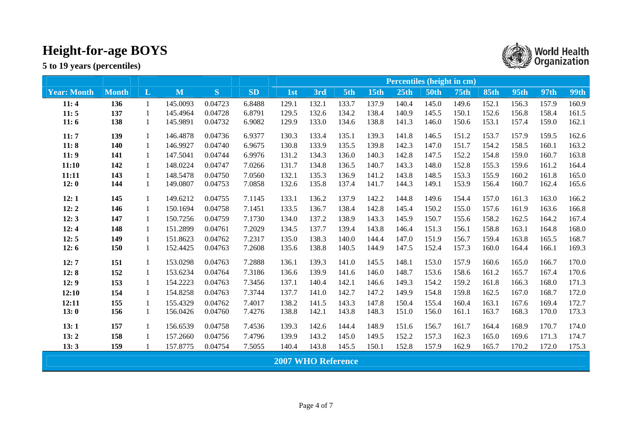|                    |              |              |          |         | <b>Percentiles (height in cm)</b> |                           |       |       |       |       |             |             |             |             |             |             |  |
|--------------------|--------------|--------------|----------|---------|-----------------------------------|---------------------------|-------|-------|-------|-------|-------------|-------------|-------------|-------------|-------------|-------------|--|
| <b>Year: Month</b> | <b>Month</b> | $\mathbf{L}$ | M        | S       | <b>SD</b>                         | 1st                       | 3rd   | 5th   | 15th  | 25th  | <b>50th</b> | <b>75th</b> | <b>85th</b> | <b>95th</b> | <b>97th</b> | <b>99th</b> |  |
| 11:4               | 136          |              | 145.0093 | 0.04723 | 6.8488                            | 129.1                     | 132.1 | 133.7 | 137.9 | 140.4 | 145.0       | 149.6       | 152.1       | 156.3       | 157.9       | 160.9       |  |
| 11:5               | 137          |              | 145.4964 | 0.04728 | 6.8791                            | 129.5                     | 132.6 | 134.2 | 138.4 | 140.9 | 145.5       | 150.1       | 152.6       | 156.8       | 158.4       | 161.5       |  |
| 11:6               | 138          |              | 145.9891 | 0.04732 | 6.9082                            | 129.9                     | 133.0 | 134.6 | 138.8 | 141.3 | 146.0       | 150.6       | 153.1       | 157.4       | 159.0       | 162.1       |  |
| 11:7               | 139          | 1            | 146.4878 | 0.04736 | 6.9377                            | 130.3                     | 133.4 | 135.1 | 139.3 | 141.8 | 146.5       | 151.2       | 153.7       | 157.9       | 159.5       | 162.6       |  |
| 11:8               | 140          | 1            | 146.9927 | 0.04740 | 6.9675                            | 130.8                     | 133.9 | 135.5 | 139.8 | 142.3 | 147.0       | 151.7       | 154.2       | 158.5       | 160.1       | 163.2       |  |
| 11:9               | 141          | 1            | 147.5041 | 0.04744 | 6.9976                            | 131.2                     | 134.3 | 136.0 | 140.3 | 142.8 | 147.5       | 152.2       | 154.8       | 159.0       | 160.7       | 163.8       |  |
| 11:10              | 142          | 1            | 148.0224 | 0.04747 | 7.0266                            | 131.7                     | 134.8 | 136.5 | 140.7 | 143.3 | 148.0       | 152.8       | 155.3       | 159.6       | 161.2       | 164.4       |  |
| 11:11              | 143          | 1            | 148.5478 | 0.04750 | 7.0560                            | 132.1                     | 135.3 | 136.9 | 141.2 | 143.8 | 148.5       | 153.3       | 155.9       | 160.2       | 161.8       | 165.0       |  |
| 12:0               | 144          | 1            | 149.0807 | 0.04753 | 7.0858                            | 132.6                     | 135.8 | 137.4 | 141.7 | 144.3 | 149.1       | 153.9       | 156.4       | 160.7       | 162.4       | 165.6       |  |
| 12:1               | 145          |              | 149.6212 | 0.04755 | 7.1145                            | 133.1                     | 136.2 | 137.9 | 142.2 | 144.8 | 149.6       | 154.4       | 157.0       | 161.3       | 163.0       | 166.2       |  |
| 12:2               | 146          |              | 150.1694 | 0.04758 | 7.1451                            | 133.5                     | 136.7 | 138.4 | 142.8 | 145.4 | 150.2       | 155.0       | 157.6       | 161.9       | 163.6       | 166.8       |  |
| 12:3               | 147          | 1            | 150.7256 | 0.04759 | 7.1730                            | 134.0                     | 137.2 | 138.9 | 143.3 | 145.9 | 150.7       | 155.6       | 158.2       | 162.5       | 164.2       | 167.4       |  |
| 12:4               | 148          | 1            | 151.2899 | 0.04761 | 7.2029                            | 134.5                     | 137.7 | 139.4 | 143.8 | 146.4 | 151.3       | 156.1       | 158.8       | 163.1       | 164.8       | 168.0       |  |
| 12:5               | 149          |              | 151.8623 | 0.04762 | 7.2317                            | 135.0                     | 138.3 | 140.0 | 144.4 | 147.0 | 151.9       | 156.7       | 159.4       | 163.8       | 165.5       | 168.7       |  |
| 12:6               | 150          | 1            | 152.4425 | 0.04763 | 7.2608                            | 135.6                     | 138.8 | 140.5 | 144.9 | 147.5 | 152.4       | 157.3       | 160.0       | 164.4       | 166.1       | 169.3       |  |
| 12:7               | 151          | 1            | 153.0298 | 0.04763 | 7.2888                            | 136.1                     | 139.3 | 141.0 | 145.5 | 148.1 | 153.0       | 157.9       | 160.6       | 165.0       | 166.7       | 170.0       |  |
| 12:8               | 152          | 1            | 153.6234 | 0.04764 | 7.3186                            | 136.6                     | 139.9 | 141.6 | 146.0 | 148.7 | 153.6       | 158.6       | 161.2       | 165.7       | 167.4       | 170.6       |  |
| 12:9               | 153          |              | 154.2223 | 0.04763 | 7.3456                            | 137.1                     | 140.4 | 142.1 | 146.6 | 149.3 | 154.2       | 159.2       | 161.8       | 166.3       | 168.0       | 171.3       |  |
| 12:10              | 154          | 1            | 154.8258 | 0.04763 | 7.3744                            | 137.7                     | 141.0 | 142.7 | 147.2 | 149.9 | 154.8       | 159.8       | 162.5       | 167.0       | 168.7       | 172.0       |  |
| 12:11              | 155          | 1            | 155.4329 | 0.04762 | 7.4017                            | 138.2                     | 141.5 | 143.3 | 147.8 | 150.4 | 155.4       | 160.4       | 163.1       | 167.6       | 169.4       | 172.7       |  |
| 13:0               | 156          |              | 156.0426 | 0.04760 | 7.4276                            | 138.8                     | 142.1 | 143.8 | 148.3 | 151.0 | 156.0       | 161.1       | 163.7       | 168.3       | 170.0       | 173.3       |  |
| 13:1               | 157          | 1            | 156.6539 | 0.04758 | 7.4536                            | 139.3                     | 142.6 | 144.4 | 148.9 | 151.6 | 156.7       | 161.7       | 164.4       | 168.9       | 170.7       | 174.0       |  |
| 13:2               | 158          |              | 157.2660 | 0.04756 | 7.4796                            | 139.9                     | 143.2 | 145.0 | 149.5 | 152.2 | 157.3       | 162.3       | 165.0       | 169.6       | 171.3       | 174.7       |  |
| 13:3               | 159          |              | 157.8775 | 0.04754 | 7.5055                            | 140.4                     | 143.8 | 145.5 | 150.1 | 152.8 | 157.9       | 162.9       | 165.7       | 170.2       | 172.0       | 175.3       |  |
|                    |              |              |          |         |                                   | <b>2007 WHO Reference</b> |       |       |       |       |             |             |             |             |             |             |  |

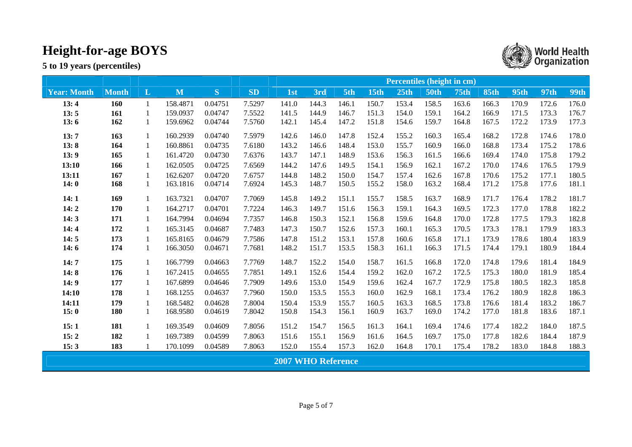|                    |              |              |          |         |           | <b>Percentiles (height in cm)</b> |       |       |             |       |             |             |             |             |       |             |  |  |
|--------------------|--------------|--------------|----------|---------|-----------|-----------------------------------|-------|-------|-------------|-------|-------------|-------------|-------------|-------------|-------|-------------|--|--|
| <b>Year: Month</b> | <b>Month</b> | $\mathbf{L}$ | M        | S.      | <b>SD</b> | 1st                               | 3rd   | 5th   | <b>15th</b> | 25th  | <b>50th</b> | <b>75th</b> | <b>85th</b> | <b>95th</b> | 97th  | <b>99th</b> |  |  |
| 13:4               | <b>160</b>   | 1            | 158.4871 | 0.04751 | 7.5297    | 141.0                             | 144.3 | 146.1 | 150.7       | 153.4 | 158.5       | 163.6       | 166.3       | 170.9       | 172.6 | 176.0       |  |  |
| 13:5               | 161          | 1            | 159.0937 | 0.04747 | 7.5522    | 141.5                             | 144.9 | 146.7 | 151.3       | 154.0 | 159.1       | 164.2       | 166.9       | 171.5       | 173.3 | 176.7       |  |  |
| 13:6               | 162          | 1            | 159.6962 | 0.04744 | 7.5760    | 142.1                             | 145.4 | 147.2 | 151.8       | 154.6 | 159.7       | 164.8       | 167.5       | 172.2       | 173.9 | 177.3       |  |  |
| 13:7               | 163          | 1            | 160.2939 | 0.04740 | 7.5979    | 142.6                             | 146.0 | 147.8 | 152.4       | 155.2 | 160.3       | 165.4       | 168.2       | 172.8       | 174.6 | 178.0       |  |  |
| 13:8               | 164          |              | 160.8861 | 0.04735 | 7.6180    | 143.2                             | 146.6 | 148.4 | 153.0       | 155.7 | 160.9       | 166.0       | 168.8       | 173.4       | 175.2 | 178.6       |  |  |
| 13:9               | 165          | 1            | 161.4720 | 0.04730 | 7.6376    | 143.7                             | 147.1 | 148.9 | 153.6       | 156.3 | 161.5       | 166.6       | 169.4       | 174.0       | 175.8 | 179.2       |  |  |
| 13:10              | 166          | 1            | 162.0505 | 0.04725 | 7.6569    | 144.2                             | 147.6 | 149.5 | 154.1       | 156.9 | 162.1       | 167.2       | 170.0       | 174.6       | 176.5 | 179.9       |  |  |
| 13:11              | 167          | 1            | 162.6207 | 0.04720 | 7.6757    | 144.8                             | 148.2 | 150.0 | 154.7       | 157.4 | 162.6       | 167.8       | 170.6       | 175.2       | 177.1 | 180.5       |  |  |
| 14:0               | 168          | $\mathbf{1}$ | 163.1816 | 0.04714 | 7.6924    | 145.3                             | 148.7 | 150.5 | 155.2       | 158.0 | 163.2       | 168.4       | 171.2       | 175.8       | 177.6 | 181.1       |  |  |
| 14:1               | 169          | 1            | 163.7321 | 0.04707 | 7.7069    | 145.8                             | 149.2 | 151.1 | 155.7       | 158.5 | 163.7       | 168.9       | 171.7       | 176.4       | 178.2 | 181.7       |  |  |
| 14:2               | 170          | 1            | 164.2717 | 0.04701 | 7.7224    | 146.3                             | 149.7 | 151.6 | 156.3       | 159.1 | 164.3       | 169.5       | 172.3       | 177.0       | 178.8 | 182.2       |  |  |
| 14:3               | 171          | 1            | 164.7994 | 0.04694 | 7.7357    | 146.8                             | 150.3 | 152.1 | 156.8       | 159.6 | 164.8       | 170.0       | 172.8       | 177.5       | 179.3 | 182.8       |  |  |
| 14:4               | 172          | 1            | 165.3145 | 0.04687 | 7.7483    | 147.3                             | 150.7 | 152.6 | 157.3       | 160.1 | 165.3       | 170.5       | 173.3       | 178.1       | 179.9 | 183.3       |  |  |
| 14:5               | 173          |              | 165.8165 | 0.04679 | 7.7586    | 147.8                             | 151.2 | 153.1 | 157.8       | 160.6 | 165.8       | 171.1       | 173.9       | 178.6       | 180.4 | 183.9       |  |  |
| 14:6               | 174          | 1            | 166.3050 | 0.04671 | 7.7681    | 148.2                             | 151.7 | 153.5 | 158.3       | 161.1 | 166.3       | 171.5       | 174.4       | 179.1       | 180.9 | 184.4       |  |  |
| 14:7               | 175          | 1            | 166.7799 | 0.04663 | 7.7769    | 148.7                             | 152.2 | 154.0 | 158.7       | 161.5 | 166.8       | 172.0       | 174.8       | 179.6       | 181.4 | 184.9       |  |  |
| 14:8               | 176          | 1            | 167.2415 | 0.04655 | 7.7851    | 149.1                             | 152.6 | 154.4 | 159.2       | 162.0 | 167.2       | 172.5       | 175.3       | 180.0       | 181.9 | 185.4       |  |  |
| 14:9               | 177          | 1            | 167.6899 | 0.04646 | 7.7909    | 149.6                             | 153.0 | 154.9 | 159.6       | 162.4 | 167.7       | 172.9       | 175.8       | 180.5       | 182.3 | 185.8       |  |  |
| 14:10              | 178          | 1            | 168.1255 | 0.04637 | 7.7960    | 150.0                             | 153.5 | 155.3 | 160.0       | 162.9 | 168.1       | 173.4       | 176.2       | 180.9       | 182.8 | 186.3       |  |  |
| 14:11              | 179          | 1            | 168.5482 | 0.04628 | 7.8004    | 150.4                             | 153.9 | 155.7 | 160.5       | 163.3 | 168.5       | 173.8       | 176.6       | 181.4       | 183.2 | 186.7       |  |  |
| 15:0               | 180          | 1            | 168.9580 | 0.04619 | 7.8042    | 150.8                             | 154.3 | 156.1 | 160.9       | 163.7 | 169.0       | 174.2       | 177.0       | 181.8       | 183.6 | 187.1       |  |  |
| 15:1               | 181          | 1            | 169.3549 | 0.04609 | 7.8056    | 151.2                             | 154.7 | 156.5 | 161.3       | 164.1 | 169.4       | 174.6       | 177.4       | 182.2       | 184.0 | 187.5       |  |  |
| 15:2               | 182          | 1            | 169.7389 | 0.04599 | 7.8063    | 151.6                             | 155.1 | 156.9 | 161.6       | 164.5 | 169.7       | 175.0       | 177.8       | 182.6       | 184.4 | 187.9       |  |  |
| 15:3               | 183          |              | 170.1099 | 0.04589 | 7.8063    | 152.0                             | 155.4 | 157.3 | 162.0       | 164.8 | 170.1       | 175.4       | 178.2       | 183.0       | 184.8 | 188.3       |  |  |
|                    |              |              |          |         |           | <b>2007 WHO Reference</b>         |       |       |             |       |             |             |             |             |       |             |  |  |

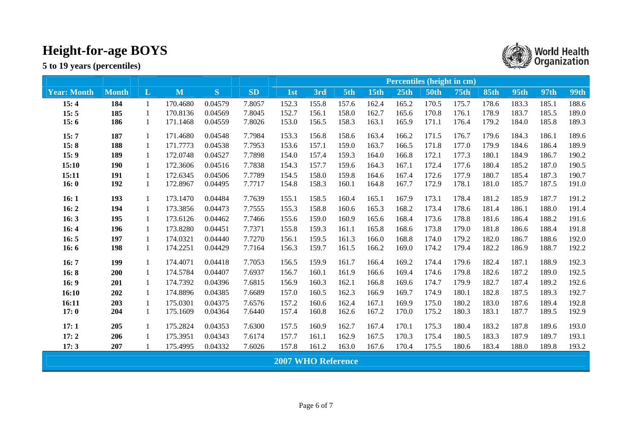|                    |              |              |          |              |           | Percentiles (height in cm) |       |       |             |                  |             |             |             |             |       |             |  |  |
|--------------------|--------------|--------------|----------|--------------|-----------|----------------------------|-------|-------|-------------|------------------|-------------|-------------|-------------|-------------|-------|-------------|--|--|
| <b>Year: Month</b> | <b>Month</b> | $\mathbf{L}$ | M        | <sub>S</sub> | <b>SD</b> | 1 <sub>st</sub>            | 3rd   | 5th   | <b>15th</b> | 25 <sub>th</sub> | <b>50th</b> | <b>75th</b> | <b>85th</b> | <b>95th</b> | 97th  | <b>99th</b> |  |  |
| 15:4               | 184          | 1            | 170.4680 | 0.04579      | 7.8057    | 152.3                      | 155.8 | 157.6 | 162.4       | 165.2            | 170.5       | 175.7       | 178.6       | 183.3       | 185.1 | 188.6       |  |  |
| 15:5               | 185          | 1            | 170.8136 | 0.04569      | 7.8045    | 152.7                      | 156.1 | 158.0 | 162.7       | 165.6            | 170.8       | 176.1       | 178.9       | 183.7       | 185.5 | 189.0       |  |  |
| 15:6               | 186          | 1            | 171.1468 | 0.04559      | 7.8026    | 153.0                      | 156.5 | 158.3 | 163.1       | 165.9            | 171.1       | 176.4       | 179.2       | 184.0       | 185.8 | 189.3       |  |  |
| 15:7               | 187          | $\mathbf{1}$ | 171.4680 | 0.04548      | 7.7984    | 153.3                      | 156.8 | 158.6 | 163.4       | 166.2            | 171.5       | 176.7       | 179.6       | 184.3       | 186.1 | 189.6       |  |  |
| 15:8               | 188          |              | 171.7773 | 0.04538      | 7.7953    | 153.6                      | 157.1 | 159.0 | 163.7       | 166.5            | 171.8       | 177.0       | 179.9       | 184.6       | 186.4 | 189.9       |  |  |
| 15:9               | 189          | 1            | 172.0748 | 0.04527      | 7.7898    | 154.0                      | 157.4 | 159.3 | 164.0       | 166.8            | 172.1       | 177.3       | 180.1       | 184.9       | 186.7 | 190.2       |  |  |
| 15:10              | <b>190</b>   | 1            | 172.3606 | 0.04516      | 7.7838    | 154.3                      | 157.7 | 159.6 | 164.3       | 167.1            | 172.4       | 177.6       | 180.4       | 185.2       | 187.0 | 190.5       |  |  |
| 15:11              | 191          | 1            | 172.6345 | 0.04506      | 7.7789    | 154.5                      | 158.0 | 159.8 | 164.6       | 167.4            | 172.6       | 177.9       | 180.7       | 185.4       | 187.3 | 190.7       |  |  |
| 16:0               | 192          | 1            | 172.8967 | 0.04495      | 7.7717    | 154.8                      | 158.3 | 160.1 | 164.8       | 167.7            | 172.9       | 178.1       | 181.0       | 185.7       | 187.5 | 191.0       |  |  |
| 16:1               | 193          | 1            | 173.1470 | 0.04484      | 7.7639    | 155.1                      | 158.5 | 160.4 | 165.1       | 167.9            | 173.1       | 178.4       | 181.2       | 185.9       | 187.7 | 191.2       |  |  |
| 16:2               | 194          | 1            | 173.3856 | 0.04473      | 7.7555    | 155.3                      | 158.8 | 160.6 | 165.3       | 168.2            | 173.4       | 178.6       | 181.4       | 186.1       | 188.0 | 191.4       |  |  |
| 16:3               | 195          | 1            | 173.6126 | 0.04462      | 7.7466    | 155.6                      | 159.0 | 160.9 | 165.6       | 168.4            | 173.6       | 178.8       | 181.6       | 186.4       | 188.2 | 191.6       |  |  |
| 16:4               | 196          | 1            | 173.8280 | 0.04451      | 7.7371    | 155.8                      | 159.3 | 161.1 | 165.8       | 168.6            | 173.8       | 179.0       | 181.8       | 186.6       | 188.4 | 191.8       |  |  |
| 16:5               | 197          | 1            | 174.0321 | 0.04440      | 7.7270    | 156.1                      | 159.5 | 161.3 | 166.0       | 168.8            | 174.0       | 179.2       | 182.0       | 186.7       | 188.6 | 192.0       |  |  |
| 16:6               | 198          | 1            | 174.2251 | 0.04429      | 7.7164    | 156.3                      | 159.7 | 161.5 | 166.2       | 169.0            | 174.2       | 179.4       | 182.2       | 186.9       | 188.7 | 192.2       |  |  |
| 16:7               | 199          | 1            | 174.4071 | 0.04418      | 7.7053    | 156.5                      | 159.9 | 161.7 | 166.4       | 169.2            | 174.4       | 179.6       | 182.4       | 187.1       | 188.9 | 192.3       |  |  |
| 16:8               | 200          | $\mathbf{1}$ | 174.5784 | 0.04407      | 7.6937    | 156.7                      | 160.1 | 161.9 | 166.6       | 169.4            | 174.6       | 179.8       | 182.6       | 187.2       | 189.0 | 192.5       |  |  |
| 16:9               | 201          | 1            | 174.7392 | 0.04396      | 7.6815    | 156.9                      | 160.3 | 162.1 | 166.8       | 169.6            | 174.7       | 179.9       | 182.7       | 187.4       | 189.2 | 192.6       |  |  |
| 16:10              | 202          | 1            | 174.8896 | 0.04385      | 7.6689    | 157.0                      | 160.5 | 162.3 | 166.9       | 169.7            | 174.9       | 180.1       | 182.8       | 187.5       | 189.3 | 192.7       |  |  |
| 16:11              | 203          | 1            | 175.0301 | 0.04375      | 7.6576    | 157.2                      | 160.6 | 162.4 | 167.1       | 169.9            | 175.0       | 180.2       | 183.0       | 187.6       | 189.4 | 192.8       |  |  |
| 17:0               | 204          | 1            | 175.1609 | 0.04364      | 7.6440    | 157.4                      | 160.8 | 162.6 | 167.2       | 170.0            | 175.2       | 180.3       | 183.1       | 187.7       | 189.5 | 192.9       |  |  |
| 17:1               | 205          | 1            | 175.2824 | 0.04353      | 7.6300    | 157.5                      | 160.9 | 162.7 | 167.4       | 170.1            | 175.3       | 180.4       | 183.2       | 187.8       | 189.6 | 193.0       |  |  |
| 17:2               | 206          | 1            | 175.3951 | 0.04343      | 7.6174    | 157.7                      | 161.1 | 162.9 | 167.5       | 170.3            | 175.4       | 180.5       | 183.3       | 187.9       | 189.7 | 193.1       |  |  |
| 17:3               | 207          |              | 175.4995 | 0.04332      | 7.6026    | 157.8                      | 161.2 | 163.0 | 167.6       | 170.4            | 175.5       | 180.6       | 183.4       | 188.0       | 189.8 | 193.2       |  |  |
|                    |              |              |          |              |           | <b>2007 WHO Reference</b>  |       |       |             |                  |             |             |             |             |       |             |  |  |